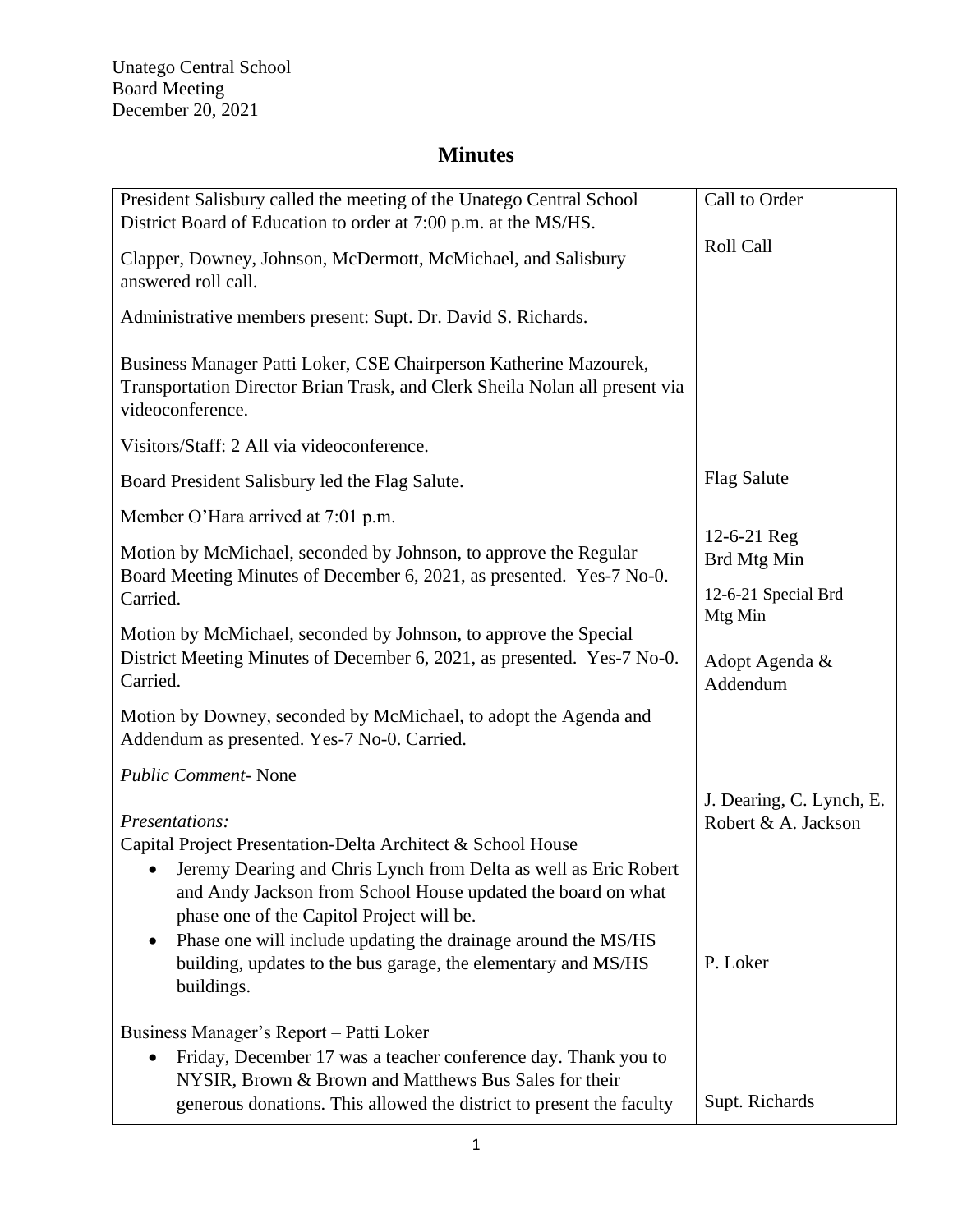| President Salisbury called the meeting of the Unatego Central School<br>District Board of Education to order at 7:00 p.m. at the MS/HS.                                       | Call to Order                                   |
|-------------------------------------------------------------------------------------------------------------------------------------------------------------------------------|-------------------------------------------------|
| Clapper, Downey, Johnson, McDermott, McMichael, and Salisbury<br>answered roll call.                                                                                          | Roll Call                                       |
| Administrative members present: Supt. Dr. David S. Richards.                                                                                                                  |                                                 |
| Business Manager Patti Loker, CSE Chairperson Katherine Mazourek,<br>Transportation Director Brian Trask, and Clerk Sheila Nolan all present via<br>videoconference.          |                                                 |
| Visitors/Staff: 2 All via videoconference.                                                                                                                                    |                                                 |
| Board President Salisbury led the Flag Salute.                                                                                                                                | <b>Flag Salute</b>                              |
| Member O'Hara arrived at 7:01 p.m.                                                                                                                                            |                                                 |
| Motion by McMichael, seconded by Johnson, to approve the Regular<br>Board Meeting Minutes of December 6, 2021, as presented. Yes-7 No-0.                                      | 12-6-21 Reg<br>Brd Mtg Min                      |
| Carried.                                                                                                                                                                      | 12-6-21 Special Brd                             |
| Motion by McMichael, seconded by Johnson, to approve the Special<br>District Meeting Minutes of December 6, 2021, as presented. Yes-7 No-0.                                   | Mtg Min<br>Adopt Agenda &                       |
| Carried.                                                                                                                                                                      | Addendum                                        |
| Motion by Downey, seconded by McMichael, to adopt the Agenda and<br>Addendum as presented. Yes-7 No-0. Carried.                                                               |                                                 |
| Public Comment-None                                                                                                                                                           |                                                 |
| Presentations:                                                                                                                                                                | J. Dearing, C. Lynch, E.<br>Robert & A. Jackson |
| Capital Project Presentation-Delta Architect & School House                                                                                                                   |                                                 |
| Jeremy Dearing and Chris Lynch from Delta as well as Eric Robert<br>and Andy Jackson from School House updated the board on what<br>phase one of the Capitol Project will be. |                                                 |
| Phase one will include updating the drainage around the MS/HS                                                                                                                 |                                                 |
| building, updates to the bus garage, the elementary and MS/HS<br>buildings.                                                                                                   | P. Loker                                        |
| Business Manager's Report - Patti Loker                                                                                                                                       |                                                 |
| Friday, December 17 was a teacher conference day. Thank you to                                                                                                                |                                                 |
| NYSIR, Brown & Brown and Matthews Bus Sales for their<br>generous donations. This allowed the district to present the faculty                                                 | Supt. Richards                                  |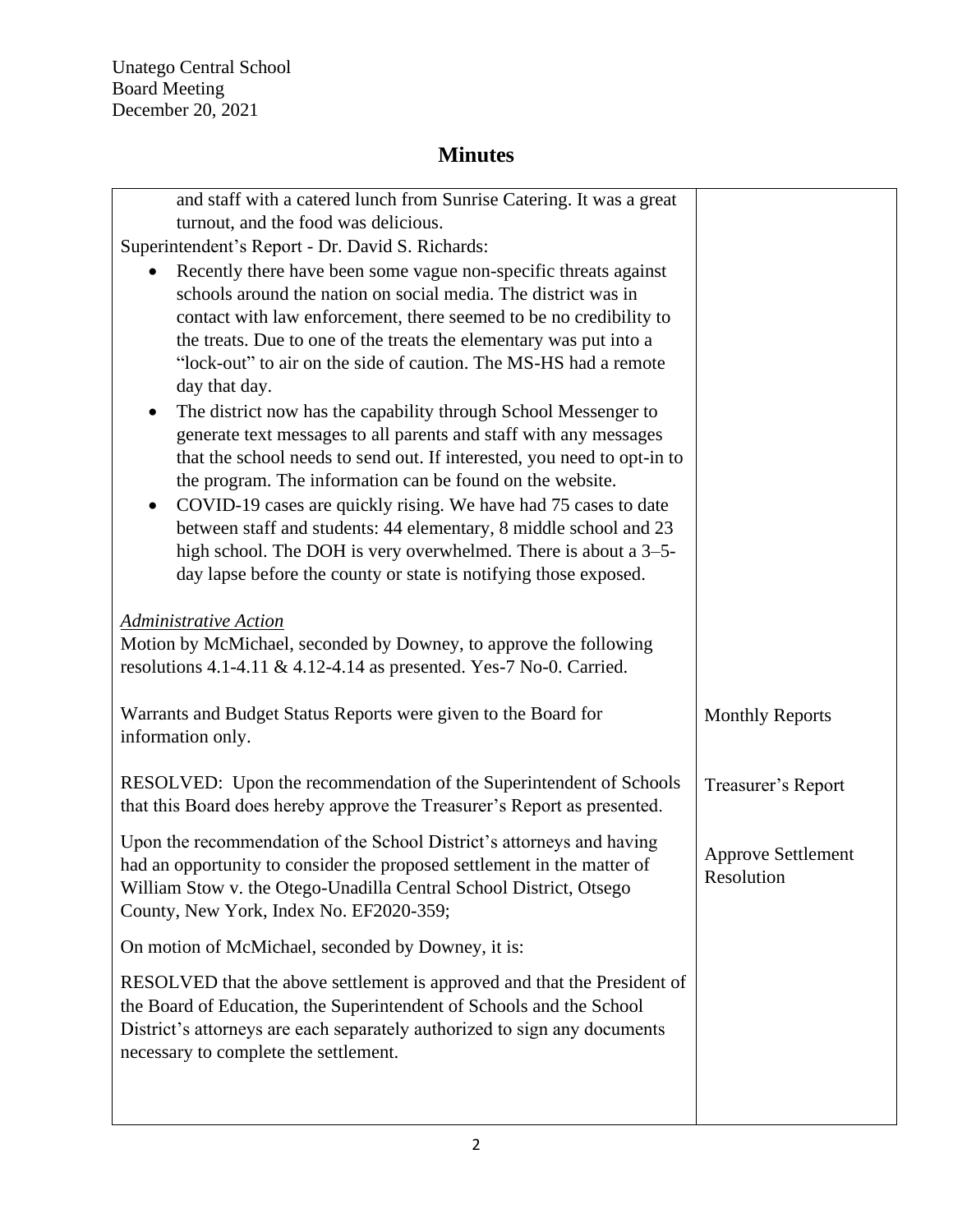Unatego Central School Board Meeting December 20, 2021

| and staff with a catered lunch from Sunrise Catering. It was a great<br>turnout, and the food was delicious. |                           |
|--------------------------------------------------------------------------------------------------------------|---------------------------|
| Superintendent's Report - Dr. David S. Richards:                                                             |                           |
| Recently there have been some vague non-specific threats against                                             |                           |
| schools around the nation on social media. The district was in                                               |                           |
| contact with law enforcement, there seemed to be no credibility to                                           |                           |
| the treats. Due to one of the treats the elementary was put into a                                           |                           |
| "lock-out" to air on the side of caution. The MS-HS had a remote                                             |                           |
| day that day.                                                                                                |                           |
| The district now has the capability through School Messenger to                                              |                           |
|                                                                                                              |                           |
| generate text messages to all parents and staff with any messages                                            |                           |
| that the school needs to send out. If interested, you need to opt-in to                                      |                           |
| the program. The information can be found on the website.                                                    |                           |
| COVID-19 cases are quickly rising. We have had 75 cases to date<br>٠                                         |                           |
| between staff and students: 44 elementary, 8 middle school and 23                                            |                           |
| high school. The DOH is very overwhelmed. There is about a 3-5-                                              |                           |
| day lapse before the county or state is notifying those exposed.                                             |                           |
|                                                                                                              |                           |
| <b>Administrative Action</b>                                                                                 |                           |
| Motion by McMichael, seconded by Downey, to approve the following                                            |                           |
| resolutions 4.1-4.11 & 4.12-4.14 as presented. Yes-7 No-0. Carried.                                          |                           |
|                                                                                                              |                           |
| Warrants and Budget Status Reports were given to the Board for                                               | <b>Monthly Reports</b>    |
| information only.                                                                                            |                           |
|                                                                                                              |                           |
| RESOLVED: Upon the recommendation of the Superintendent of Schools                                           | Treasurer's Report        |
| that this Board does hereby approve the Treasurer's Report as presented.                                     |                           |
|                                                                                                              |                           |
| Upon the recommendation of the School District's attorneys and having                                        |                           |
| had an opportunity to consider the proposed settlement in the matter of                                      | <b>Approve Settlement</b> |
| William Stow v. the Otego-Unadilla Central School District, Otsego                                           | Resolution                |
| County, New York, Index No. EF2020-359;                                                                      |                           |
|                                                                                                              |                           |
| On motion of McMichael, seconded by Downey, it is:                                                           |                           |
| RESOLVED that the above settlement is approved and that the President of                                     |                           |
| the Board of Education, the Superintendent of Schools and the School                                         |                           |
| District's attorneys are each separately authorized to sign any documents                                    |                           |
| necessary to complete the settlement.                                                                        |                           |
|                                                                                                              |                           |
|                                                                                                              |                           |
|                                                                                                              |                           |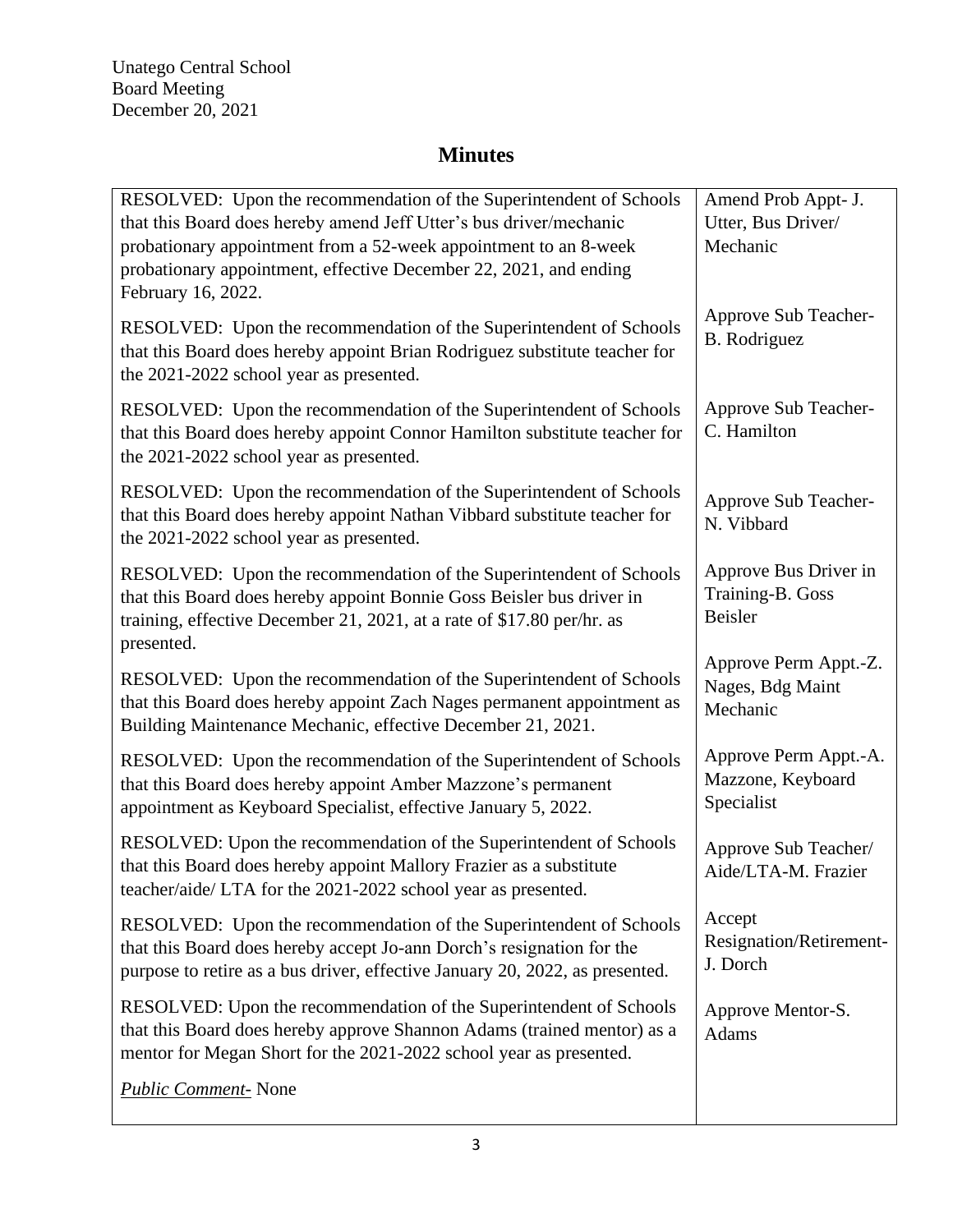| RESOLVED: Upon the recommendation of the Superintendent of Schools<br>that this Board does hereby amend Jeff Utter's bus driver/mechanic<br>probationary appointment from a 52-week appointment to an 8-week<br>probationary appointment, effective December 22, 2021, and ending<br>February 16, 2022. | Amend Prob Appt- J.<br>Utter, Bus Driver/<br>Mechanic    |
|---------------------------------------------------------------------------------------------------------------------------------------------------------------------------------------------------------------------------------------------------------------------------------------------------------|----------------------------------------------------------|
| RESOLVED: Upon the recommendation of the Superintendent of Schools<br>that this Board does hereby appoint Brian Rodriguez substitute teacher for<br>the 2021-2022 school year as presented.                                                                                                             | Approve Sub Teacher-<br><b>B.</b> Rodriguez              |
| RESOLVED: Upon the recommendation of the Superintendent of Schools<br>that this Board does hereby appoint Connor Hamilton substitute teacher for<br>the 2021-2022 school year as presented.                                                                                                             | Approve Sub Teacher-<br>C. Hamilton                      |
| RESOLVED: Upon the recommendation of the Superintendent of Schools<br>that this Board does hereby appoint Nathan Vibbard substitute teacher for<br>the 2021-2022 school year as presented.                                                                                                              | Approve Sub Teacher-<br>N. Vibbard                       |
| RESOLVED: Upon the recommendation of the Superintendent of Schools<br>that this Board does hereby appoint Bonnie Goss Beisler bus driver in<br>training, effective December 21, 2021, at a rate of \$17.80 per/hr. as<br>presented.                                                                     | Approve Bus Driver in<br>Training-B. Goss<br>Beisler     |
| RESOLVED: Upon the recommendation of the Superintendent of Schools<br>that this Board does hereby appoint Zach Nages permanent appointment as<br>Building Maintenance Mechanic, effective December 21, 2021.                                                                                            | Approve Perm Appt.-Z.<br>Nages, Bdg Maint<br>Mechanic    |
| RESOLVED: Upon the recommendation of the Superintendent of Schools<br>that this Board does hereby appoint Amber Mazzone's permanent<br>appointment as Keyboard Specialist, effective January 5, 2022.                                                                                                   | Approve Perm Appt.-A.<br>Mazzone, Keyboard<br>Specialist |
| RESOLVED: Upon the recommendation of the Superintendent of Schools<br>that this Board does hereby appoint Mallory Frazier as a substitute<br>teacher/aide/ LTA for the 2021-2022 school year as presented.                                                                                              | Approve Sub Teacher/<br>Aide/LTA-M. Frazier              |
| RESOLVED: Upon the recommendation of the Superintendent of Schools<br>that this Board does hereby accept Jo-ann Dorch's resignation for the<br>purpose to retire as a bus driver, effective January 20, 2022, as presented.                                                                             | Accept<br>Resignation/Retirement-<br>J. Dorch            |
| RESOLVED: Upon the recommendation of the Superintendent of Schools<br>that this Board does hereby approve Shannon Adams (trained mentor) as a<br>mentor for Megan Short for the 2021-2022 school year as presented.                                                                                     | Approve Mentor-S.<br>Adams                               |
| <b>Public Comment-</b> None                                                                                                                                                                                                                                                                             |                                                          |